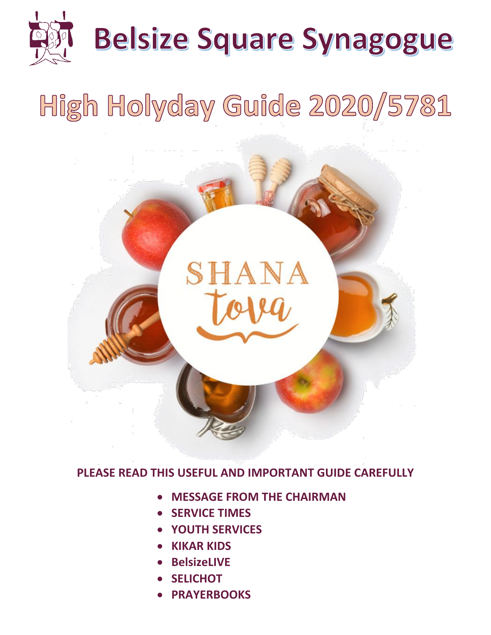

# High Holyday Guide 2020/5781



**PLEASE READ THIS USEFUL AND IMPORTANT GUIDE CAREFULLY**

- **MESSAGE FROM THE CHAIRMAN**
- **SERVICE TIMES**
- **YOUTH SERVICES**
- **KIKAR KIDS**
- **BelsizeLIVE**
- **SELICHOT**
- **PRAYERBOOKS**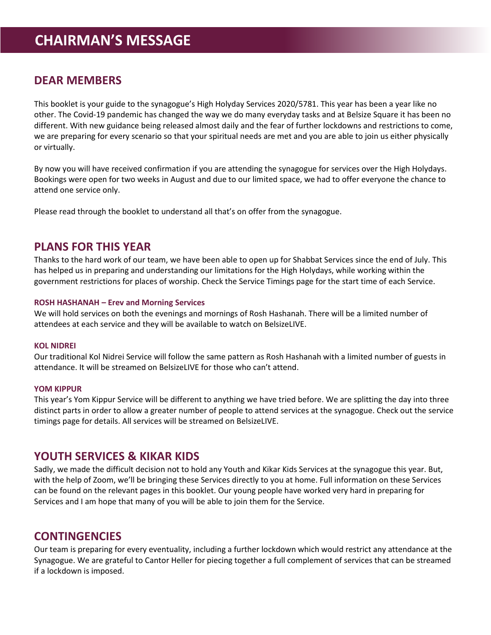## **DEAR MEMBERS**

This booklet is your guide to the synagogue's High Holyday Services 2020/5781. This year has been a year like no other. The Covid-19 pandemic has changed the way we do many everyday tasks and at Belsize Square it has been no different. With new guidance being released almost daily and the fear of further lockdowns and restrictions to come, we are preparing for every scenario so that your spiritual needs are met and you are able to join us either physically or virtually.

By now you will have received confirmation if you are attending the synagogue for services over the High Holydays. Bookings were open for two weeks in August and due to our limited space, we had to offer everyone the chance to attend one service only.

Please read through the booklet to understand all that's on offer from the synagogue.

## **PLANS FOR THIS YEAR**

Thanks to the hard work of our team, we have been able to open up for Shabbat Services since the end of July. This has helped us in preparing and understanding our limitations for the High Holydays, while working within the government restrictions for places of worship. Check the Service Timings page for the start time of each Service.

#### **ROSH HASHANAH – Erev and Morning Services**

We will hold services on both the evenings and mornings of Rosh Hashanah. There will be a limited number of attendees at each service and they will be available to watch on BelsizeLIVE.

#### **KOL NIDREI**

Our traditional Kol Nidrei Service will follow the same pattern as Rosh Hashanah with a limited number of guests in attendance. It will be streamed on BelsizeLIVE for those who can't attend.

#### **YOM KIPPUR**

This year's Yom Kippur Service will be different to anything we have tried before. We are splitting the day into three distinct parts in order to allow a greater number of people to attend services at the synagogue. Check out the service timings page for details. All services will be streamed on BelsizeLIVE.

## **YOUTH SERVICES & KIKAR KIDS**

Sadly, we made the difficult decision not to hold any Youth and Kikar Kids Services at the synagogue this year. But, with the help of Zoom, we'll be bringing these Services directly to you at home. Full information on these Services can be found on the relevant pages in this booklet. Our young people have worked very hard in preparing for Services and I am hope that many of you will be able to join them for the Service.

## **CONTINGENCIES**

Our team is preparing for every eventuality, including a further lockdown which would restrict any attendance at the Synagogue. We are grateful to Cantor Heller for piecing together a full complement of services that can be streamed if a lockdown is imposed.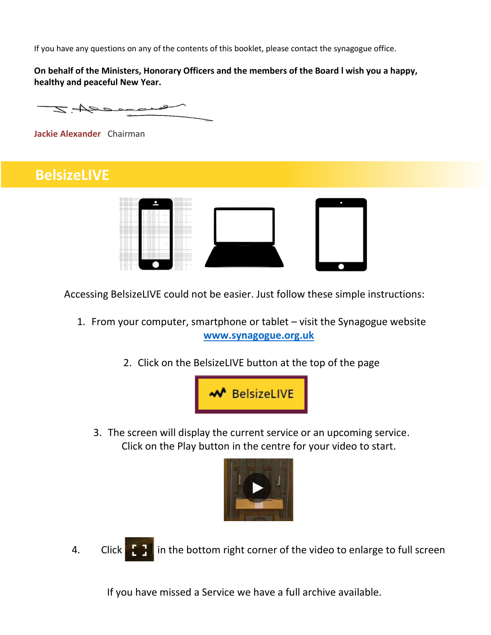If you have any questions on any of the contents of this booklet, please contact the synagogue office.

**On behalf of the Ministers, Honorary Officers and the members of the Board l wish you a happy, healthy and peaceful New Year.**

z Aero

**Jackie Alexander** Chairman

# **BelsizeLIVE**



Accessing BelsizeLIVE could not be easier. Just follow these simple instructions:

- 1. From your computer, smartphone or tablet visit the Synagogue website **[www.synagogue.org.uk](http://www.synagogue.org.uk/)**
	- 2. Click on the BelsizeLIVE button at the top of the page



3. The screen will display the current service or an upcoming service. Click on the Play button in the centre for your video to start.



4. Click in the bottom right corner of the video to enlarge to full screen

If you have missed a Service we have a full archive available.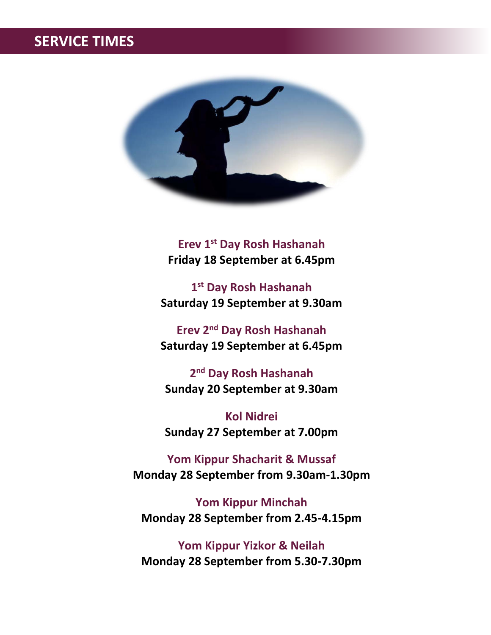# **SERVICE TIMES**



**Erev 1st Day Rosh Hashanah Friday 18 September at 6.45pm**

**1 st Day Rosh Hashanah Saturday 19 September at 9.30am**

**Erev 2nd Day Rosh Hashanah Saturday 19 September at 6.45pm**

**2 nd Day Rosh Hashanah Sunday 20 September at 9.30am**

**Kol Nidrei Sunday 27 September at 7.00pm**

**Yom Kippur Shacharit & Mussaf Monday 28 September from 9.30am-1.30pm**

**Yom Kippur Minchah Monday 28 September from 2.45-4.15pm**

**Yom Kippur Yizkor & Neilah Monday 28 September from 5.30-7.30pm**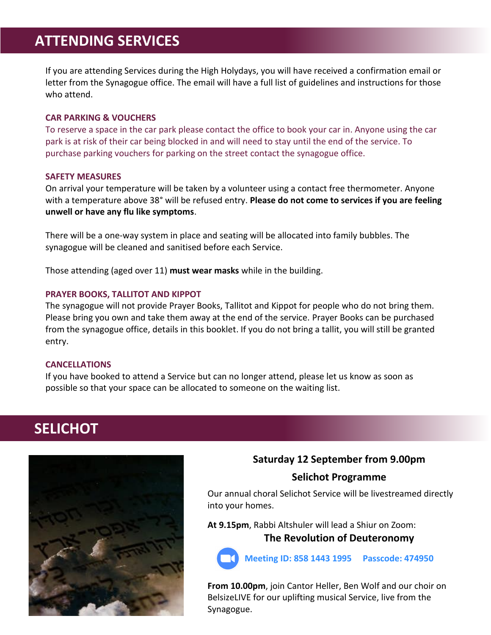# **ATTENDING SERVICES**

If you are attending Services during the High Holydays, you will have received a confirmation email or letter from the Synagogue office. The email will have a full list of guidelines and instructions for those who attend.

#### **CAR PARKING & VOUCHERS**

To reserve a space in the car park please contact the office to book your car in. Anyone using the car park is at risk of their car being blocked in and will need to stay until the end of the service. To purchase parking vouchers for parking on the street contact the synagogue office.

#### **SAFETY MEASURES**

On arrival your temperature will be taken by a volunteer using a contact free thermometer. Anyone with a temperature above 38° will be refused entry. **Please do not come to services if you are feeling unwell or have any flu like symptoms**.

There will be a one-way system in place and seating will be allocated into family bubbles. The synagogue will be cleaned and sanitised before each Service.

Those attending (aged over 11) **must wear masks** while in the building.

#### **PRAYER BOOKS, TALLITOT AND KIPPOT**

The synagogue will not provide Prayer Books, Tallitot and Kippot for people who do not bring them. Please bring you own and take them away at the end of the service. Prayer Books can be purchased from the synagogue office, details in this booklet. If you do not bring a tallit, you will still be granted entry.

#### **CANCELLATIONS**

If you have booked to attend a Service but can no longer attend, please let us know as soon as possible so that your space can be allocated to someone on the waiting list.

# **SELICHOT**



## **Saturday 12 September from 9.00pm**

## **Selichot Programme**

Our annual choral Selichot Service will be livestreamed directly into your homes.

**At 9.15pm**, Rabbi Altshuler will lead a Shiur on Zoom: **The Revolution of Deuteronomy**



**Meeting ID: 858 1443 1995 Passcode: 474950**

**From 10.00pm**, join Cantor Heller, Ben Wolf and our choir on BelsizeLIVE for our uplifting musical Service, live from the Synagogue.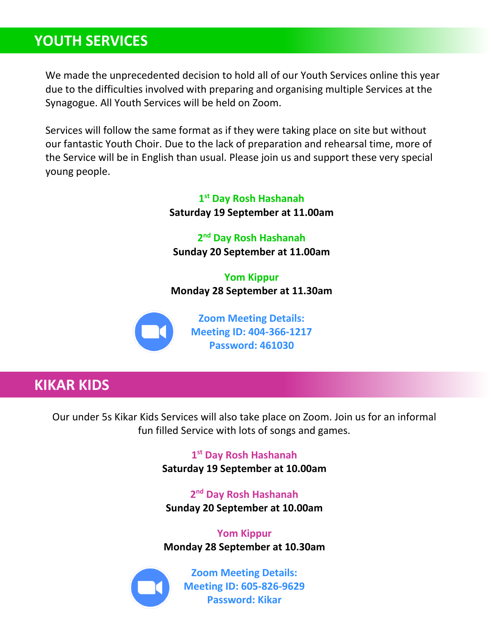# **YOUTH SERVICES**

We made the unprecedented decision to hold all of our Youth Services online this year due to the difficulties involved with preparing and organising multiple Services at the Synagogue. All Youth Services will be held on Zoom.

Services will follow the same format as if they were taking place on site but without our fantastic Youth Choir. Due to the lack of preparation and rehearsal time, more of the Service will be in English than usual. Please join us and support these very special young people.

> **1 st Day Rosh Hashanah Saturday 19 September at 11.00am**

**2 nd Day Rosh Hashanah Sunday 20 September at 11.00am**

**Yom Kippur Monday 28 September at 11.30am**



**Zoom Meeting Details: Meeting ID: 404-366-1217 Password: 461030**

# **KIKAR KIDS**

Our under 5s Kikar Kids Services will also take place on Zoom. Join us for an informal fun filled Service with lots of songs and games.

> **1 st Day Rosh Hashanah Saturday 19 September at 10.00am**

**2 nd Day Rosh Hashanah Sunday 20 September at 10.00am**

**Yom Kippur Monday 28 September at 10.30am**



**Zoom Meeting Details: Meeting ID: 605-826-9629 Password: Kikar**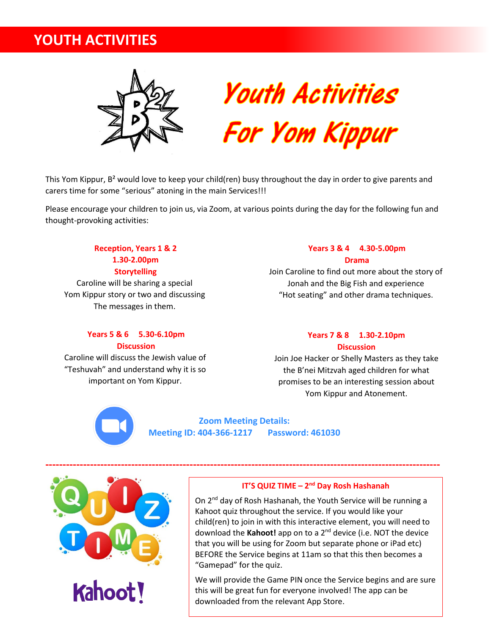# **YOUTH ACTIVITIES**





This Yom Kippur, B<sup>2</sup> would love to keep your child(ren) busy throughout the day in order to give parents and carers time for some "serious" atoning in the main Services!!!

Please encourage your children to join us, via Zoom, at various points during the day for the following fun and thought-provoking activities:

**Reception, Years 1 & 2 1.30-2.00pm Storytelling** Caroline will be sharing a special Yom Kippur story or two and discussing The messages in them.

#### **Years 3 & 4 4.30-5.00pm Drama**

Join Caroline to find out more about the story of Jonah and the Big Fish and experience "Hot seating" and other drama techniques.

#### **Years 5 & 6 5.30-6.10pm Discussion**

Caroline will discuss the Jewish value of "Teshuvah" and understand why it is so important on Yom Kippur.

#### **Years 7 & 8 1.30-2.10pm Discussion**

Join Joe Hacker or Shelly Masters as they take the B'nei Mitzvah aged children for what promises to be an interesting session about Yom Kippur and Atonement.

**Zoom Meeting Details: Meeting ID: 404-366-1217 Password: 461030**



## **IT'S QUIZ TIME – 2 nd Day Rosh Hashanah**

On 2<sup>nd</sup> day of Rosh Hashanah, the Youth Service will be running a Kahoot quiz throughout the service. If you would like your child(ren) to join in with this interactive element, you will need to download the **Kahoot!** app on to a 2nd device (i.e. NOT the device that you will be using for Zoom but separate phone or iPad etc) BEFORE the Service begins at 11am so that this then becomes a "Gamepad" for the quiz.

We will provide the Game PIN once the Service begins and are sure this will be great fun for everyone involved! The app can be downloaded from the relevant App Store.